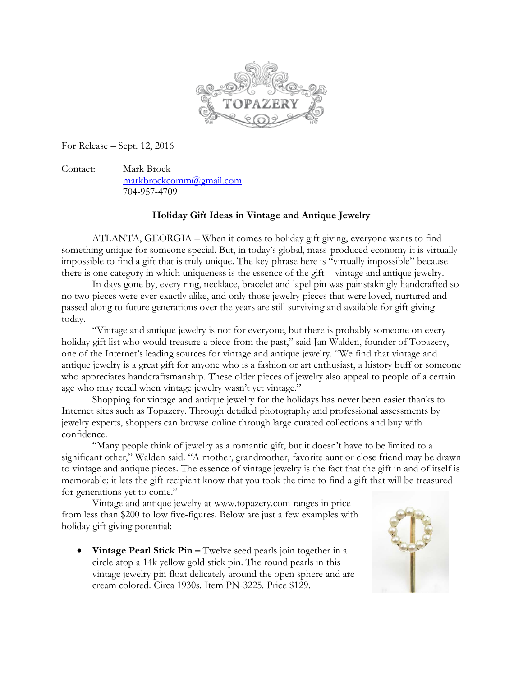

For Release – Sept. 12, 2016

Contact: Mark Brock [markbrockcomm@gmail.com](mailto:markbrockcomm@gmail.com) 704-957-4709

## **Holiday Gift Ideas in Vintage and Antique Jewelry**

ATLANTA, GEORGIA – When it comes to holiday gift giving, everyone wants to find something unique for someone special. But, in today's global, mass-produced economy it is virtually impossible to find a gift that is truly unique. The key phrase here is "virtually impossible" because there is one category in which uniqueness is the essence of the gift – vintage and antique jewelry.

In days gone by, every ring, necklace, bracelet and lapel pin was painstakingly handcrafted so no two pieces were ever exactly alike, and only those jewelry pieces that were loved, nurtured and passed along to future generations over the years are still surviving and available for gift giving today.

"Vintage and antique jewelry is not for everyone, but there is probably someone on every holiday gift list who would treasure a piece from the past," said Jan Walden, founder of Topazery, one of the Internet's leading sources for vintage and antique jewelry. "We find that vintage and antique jewelry is a great gift for anyone who is a fashion or art enthusiast, a history buff or someone who appreciates handcraftsmanship. These older pieces of jewelry also appeal to people of a certain age who may recall when vintage jewelry wasn't yet vintage."

Shopping for vintage and antique jewelry for the holidays has never been easier thanks to Internet sites such as Topazery. Through detailed photography and professional assessments by jewelry experts, shoppers can browse online through large curated collections and buy with confidence.

"Many people think of jewelry as a romantic gift, but it doesn't have to be limited to a significant other," Walden said. "A mother, grandmother, favorite aunt or close friend may be drawn to vintage and antique pieces. The essence of vintage jewelry is the fact that the gift in and of itself is memorable; it lets the gift recipient know that you took the time to find a gift that will be treasured for generations yet to come."

Vintage and antique jewelry at [www.topazery.com](http://www.topazery.com/) ranges in price from less than \$200 to low five-figures. Below are just a few examples with holiday gift giving potential:

• Vintage Pearl Stick Pin – Twelve seed pearls join together in a circle atop a 14k yellow gold stick pin. The round pearls in this vintage jewelry pin float delicately around the open sphere and are cream colored. Circa 1930s. Item PN-3225. Price \$129.

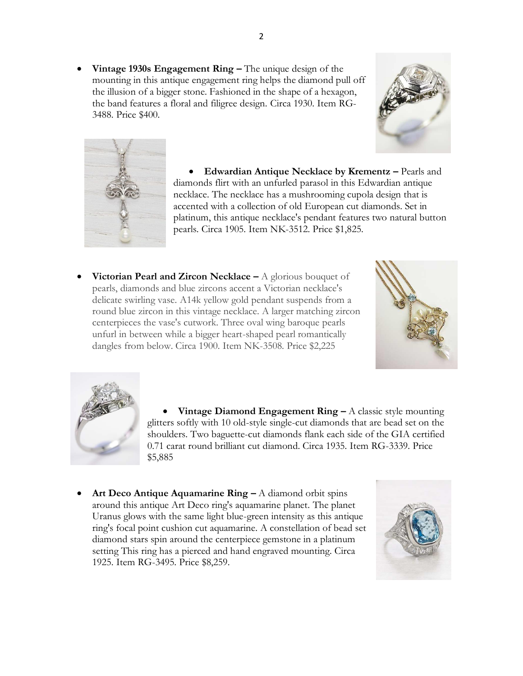**Vintage 1930s Engagement Ring –** The unique design of the mounting in this antique engagement ring helps the diamond pull off the illusion of a bigger stone. Fashioned in the shape of a hexagon, the band features a floral and filigree design. Circa 1930. Item RG-3488. Price \$400.





 **Edwardian Antique Necklace by Krementz –** Pearls and diamonds flirt with an unfurled parasol in this Edwardian antique necklace. The necklace has a mushrooming cupola design that is accented with a collection of old European cut diamonds. Set in platinum, this antique necklace's pendant features two natural button pearls. Circa 1905. Item NK-3512. Price \$1,825.

**Victorian Pearl and Zircon Necklace –** A glorious bouquet of pearls, diamonds and blue zircons accent a Victorian necklace's delicate swirling vase. A14k yellow gold pendant suspends from a round blue zircon in this vintage necklace. A larger matching zircon centerpieces the vase's cutwork. Three oval wing baroque pearls unfurl in between while a bigger heart-shaped pearl romantically dangles from below. Circa 1900. Item NK-3508. Price \$2,225





 **Vintage Diamond Engagement Ring –** A classic style mounting glitters softly with 10 old-style single-cut diamonds that are bead set on the shoulders. Two baguette-cut diamonds flank each side of the GIA certified 0.71 carat round brilliant cut diamond. Circa 1935. Item RG-3339. Price \$5,885

 **Art Deco Antique Aquamarine Ring –** A diamond orbit spins around this antique Art Deco ring's aquamarine planet. The planet Uranus glows with the same light blue-green intensity as this antique ring's focal point cushion cut aquamarine. A constellation of bead set diamond stars spin around the centerpiece gemstone in a platinum setting This ring has a pierced and hand engraved mounting. Circa 1925. Item RG-3495. Price \$8,259.